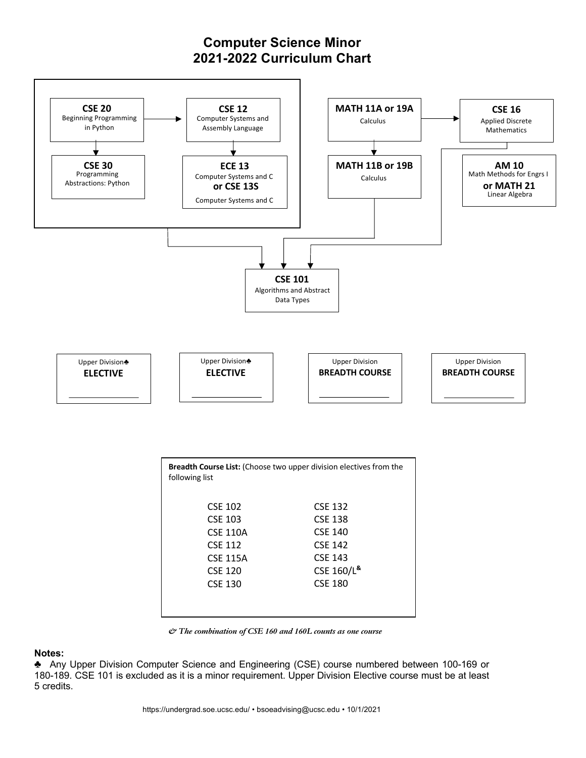## **Computer Science Minor 2021-2022 Curriculum Chart**



| <b>Breadth Course List:</b> (Choose two upper division electives from the<br>following list |                            |  |  |
|---------------------------------------------------------------------------------------------|----------------------------|--|--|
| <b>CSE 102</b>                                                                              | <b>CSE 132</b>             |  |  |
| CSE 103                                                                                     | <b>CSE 138</b>             |  |  |
| <b>CSE 110A</b>                                                                             | <b>CSE 140</b>             |  |  |
| <b>CSE 112</b>                                                                              | <b>CSE 142</b>             |  |  |
| <b>CSE 115A</b>                                                                             | CSE 143                    |  |  |
| <b>CSE 120</b>                                                                              | CSE 160/L <sup>&amp;</sup> |  |  |
| <b>CSE 130</b>                                                                              | <b>CSE 180</b>             |  |  |
|                                                                                             |                            |  |  |
|                                                                                             |                            |  |  |

*& The combination of CSE 160 and 160L counts as one course*

## **Notes:**

**♣** Any Upper Division Computer Science and Engineering (CSE) course numbered between 100-169 or 180-189. CSE 101 is excluded as it is a minor requirement. Upper Division Elective course must be at least 5 credits.